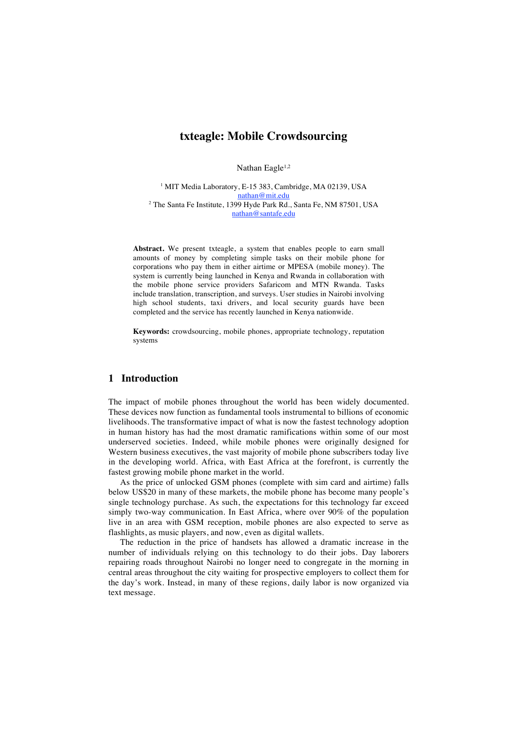# **txteagle: Mobile Crowdsourcing**

Nathan Eagle<sup>1,2</sup>

<sup>1</sup> MIT Media Laboratory, E-15 383, Cambridge, MA 02139, USA nathan@mit.edu <sup>2</sup> The Santa Fe Institute, 1399 Hyde Park Rd., Santa Fe, NM 87501, USA nathan@santafe.edu

Abstract. We present txteagle, a system that enables people to earn small amounts of money by completing simple tasks on their mobile phone for corporations who pay them in either airtime or MPESA (mobile money). The system is currently being launched in Kenya and Rwanda in collaboration with the mobile phone service providers Safaricom and MTN Rwanda. Tasks include translation, transcription, and surveys. User studies in Nairobi involving high school students, taxi drivers, and local security guards have been completed and the service has recently launched in Kenya nationwide.

**Keywords:** crowdsourcing, mobile phones, appropriate technology, reputation systems

# **1 Introduction**

The impact of mobile phones throughout the world has been widely documented. These devices now function as fundamental tools instrumental to billions of economic livelihoods. The transformative impact of what is now the fastest technology adoption in human history has had the most dramatic ramifications within some of our most underserved societies. Indeed, while mobile phones were originally designed for Western business executives, the vast majority of mobile phone subscribers today live in the developing world. Africa, with East Africa at the forefront, is currently the fastest growing mobile phone market in the world.

As the price of unlocked GSM phones (complete with sim card and airtime) falls below US\$20 in many of these markets, the mobile phone has become many people's single technology purchase. As such, the expectations for this technology far exceed simply two-way communication. In East Africa, where over 90% of the population live in an area with GSM reception, mobile phones are also expected to serve as flashlights, as music players, and now, even as digital wallets.

The reduction in the price of handsets has allowed a dramatic increase in the number of individuals relying on this technology to do their jobs. Day laborers repairing roads throughout Nairobi no longer need to congregate in the morning in central areas throughout the city waiting for prospective employers to collect them for the day's work. Instead, in many of these regions, daily labor is now organized via text message.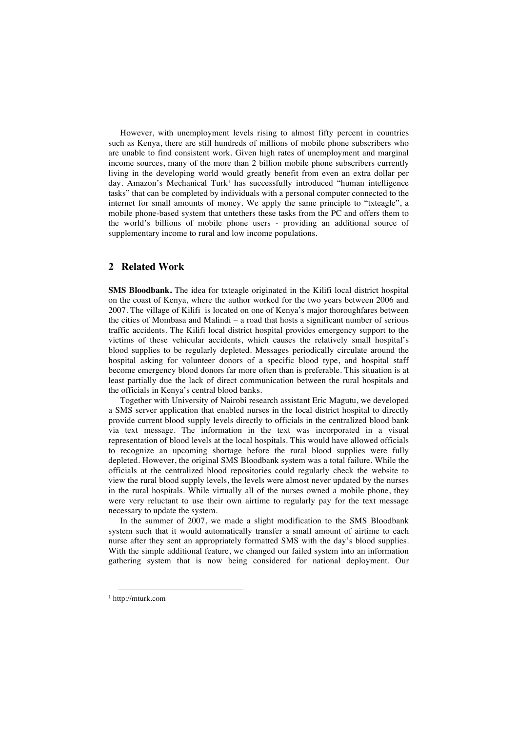However, with unemployment levels rising to almost fifty percent in countries such as Kenya, there are still hundreds of millions of mobile phone subscribers who are unable to find consistent work. Given high rates of unemployment and marginal income sources, many of the more than 2 billion mobile phone subscribers currently living in the developing world would greatly benefit from even an extra dollar per day. Amazon's Mechanical Turk<sup>1</sup> has successfully introduced "human intelligence tasks" that can be completed by individuals with a personal computer connected to the internet for small amounts of money. We apply the same principle to "txteagle", a mobile phone-based system that untethers these tasks from the PC and offers them to the world's billions of mobile phone users - providing an additional source of supplementary income to rural and low income populations.

## **2 Related Work**

**SMS Bloodbank.** The idea for txteagle originated in the Kilifi local district hospital on the coast of Kenya, where the author worked for the two years between 2006 and 2007. The village of Kilifi is located on one of Kenya's major thoroughfares between the cities of Mombasa and Malindi – a road that hosts a significant number of serious traffic accidents. The Kilifi local district hospital provides emergency support to the victims of these vehicular accidents, which causes the relatively small hospital's blood supplies to be regularly depleted. Messages periodically circulate around the hospital asking for volunteer donors of a specific blood type, and hospital staff become emergency blood donors far more often than is preferable. This situation is at least partially due the lack of direct communication between the rural hospitals and the officials in Kenya's central blood banks.

Together with University of Nairobi research assistant Eric Magutu, we developed a SMS server application that enabled nurses in the local district hospital to directly provide current blood supply levels directly to officials in the centralized blood bank via text message. The information in the text was incorporated in a visual representation of blood levels at the local hospitals. This would have allowed officials to recognize an upcoming shortage before the rural blood supplies were fully depleted. However, the original SMS Bloodbank system was a total failure. While the officials at the centralized blood repositories could regularly check the website to view the rural blood supply levels, the levels were almost never updated by the nurses in the rural hospitals. While virtually all of the nurses owned a mobile phone, they were very reluctant to use their own airtime to regularly pay for the text message necessary to update the system.

In the summer of 2007, we made a slight modification to the SMS Bloodbank system such that it would automatically transfer a small amount of airtime to each nurse after they sent an appropriately formatted SMS with the day's blood supplies. With the simple additional feature, we changed our failed system into an information gathering system that is now being considered for national deployment. Our

 <sup>1</sup> http://mturk.com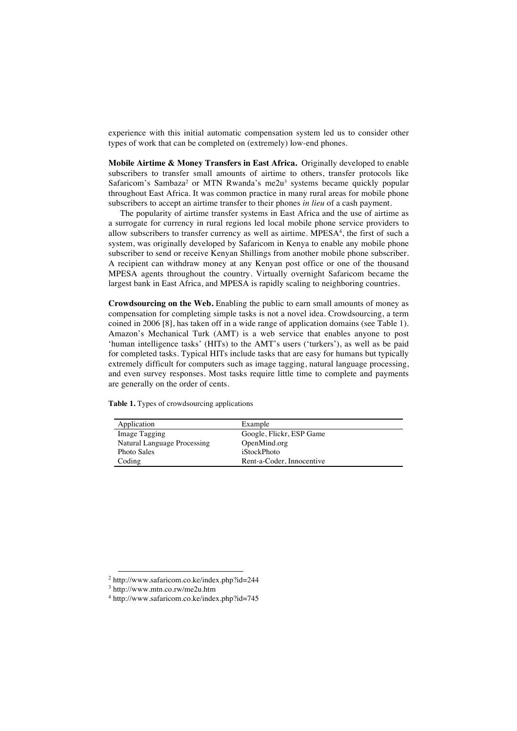experience with this initial automatic compensation system led us to consider other types of work that can be completed on (extremely) low-end phones.

**Mobile Airtime & Money Transfers in East Africa.** Originally developed to enable subscribers to transfer small amounts of airtime to others, transfer protocols like Safaricom's Sambaza<sup>2</sup> or MTN Rwanda's me $2u<sup>3</sup>$  systems became quickly popular throughout East Africa. It was common practice in many rural areas for mobile phone subscribers to accept an airtime transfer to their phones *in lieu* of a cash payment.

The popularity of airtime transfer systems in East Africa and the use of airtime as a surrogate for currency in rural regions led local mobile phone service providers to allow subscribers to transfer currency as well as airtime. MPESA<sup>4</sup>, the first of such a system, was originally developed by Safaricom in Kenya to enable any mobile phone subscriber to send or receive Kenyan Shillings from another mobile phone subscriber. A recipient can withdraw money at any Kenyan post office or one of the thousand MPESA agents throughout the country. Virtually overnight Safaricom became the largest bank in East Africa, and MPESA is rapidly scaling to neighboring countries.

**Crowdsourcing on the Web.** Enabling the public to earn small amounts of money as compensation for completing simple tasks is not a novel idea. Crowdsourcing, a term coined in 2006 [8], has taken off in a wide range of application domains (see Table 1). Amazon's Mechanical Turk (AMT) is a web service that enables anyone to post 'human intelligence tasks' (HITs) to the AMT's users ('turkers'), as well as be paid for completed tasks. Typical HITs include tasks that are easy for humans but typically extremely difficult for computers such as image tagging, natural language processing, and even survey responses. Most tasks require little time to complete and payments are generally on the order of cents.

**Table 1.** Types of crowdsourcing applications

| Application                 | Example                   |
|-----------------------------|---------------------------|
| Image Tagging               | Google, Flickr, ESP Game  |
| Natural Language Processing | OpenMind.org              |
| Photo Sales                 | <i>iStockPhoto</i>        |
| Coding                      | Rent-a-Coder, Innocentive |

 <sup>2</sup> http://www.safaricom.co.ke/index.php?id=244

<sup>3</sup> http://www.mtn.co.rw/me2u.htm

<sup>4</sup> http://www.safaricom.co.ke/index.php?id=745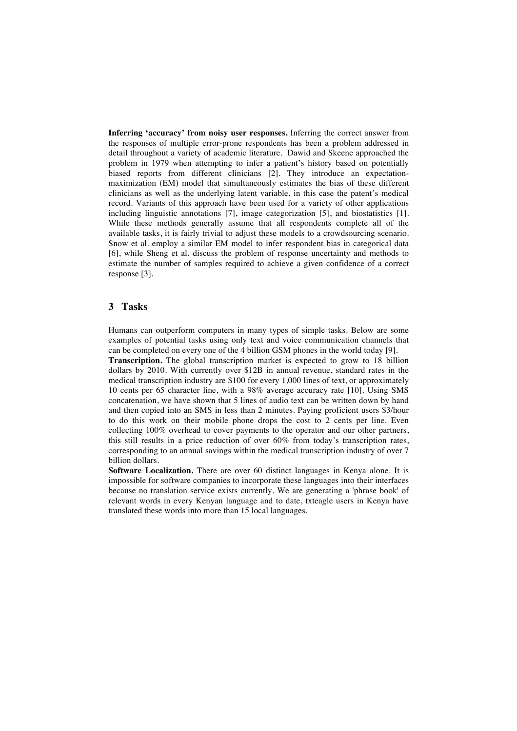**Inferring 'accuracy' from noisy user responses.** Inferring the correct answer from the responses of multiple error-prone respondents has been a problem addressed in detail throughout a variety of academic literature. Dawid and Skeene approached the problem in 1979 when attempting to infer a patient's history based on potentially biased reports from different clinicians [2]. They introduce an expectationmaximization (EM) model that simultaneously estimates the bias of these different clinicians as well as the underlying latent variable, in this case the patent's medical record. Variants of this approach have been used for a variety of other applications including linguistic annotations [7], image categorization [5], and biostatistics [1]. While these methods generally assume that all respondents complete all of the available tasks, it is fairly trivial to adjust these models to a crowdsourcing scenario. Snow et al. employ a similar EM model to infer respondent bias in categorical data [6], while Sheng et al. discuss the problem of response uncertainty and methods to estimate the number of samples required to achieve a given confidence of a correct response [3].

### **3 Tasks**

Humans can outperform computers in many types of simple tasks. Below are some examples of potential tasks using only text and voice communication channels that can be completed on every one of the 4 billion GSM phones in the world today [9]. **Transcription.** The global transcription market is expected to grow to 18 billion dollars by 2010. With currently over \$12B in annual revenue, standard rates in the medical transcription industry are \$100 for every 1,000 lines of text, or approximately 10 cents per 65 character line, with a 98% average accuracy rate [10]. Using SMS concatenation, we have shown that 5 lines of audio text can be written down by hand and then copied into an SMS in less than 2 minutes. Paying proficient users \$3/hour to do this work on their mobile phone drops the cost to 2 cents per line. Even collecting 100% overhead to cover payments to the operator and our other partners, this still results in a price reduction of over 60% from today's transcription rates, corresponding to an annual savings within the medical transcription industry of over 7 billion dollars.

**Software Localization.** There are over 60 distinct languages in Kenya alone. It is impossible for software companies to incorporate these languages into their interfaces because no translation service exists currently. We are generating a 'phrase book' of relevant words in every Kenyan language and to date, txteagle users in Kenya have translated these words into more than 15 local languages.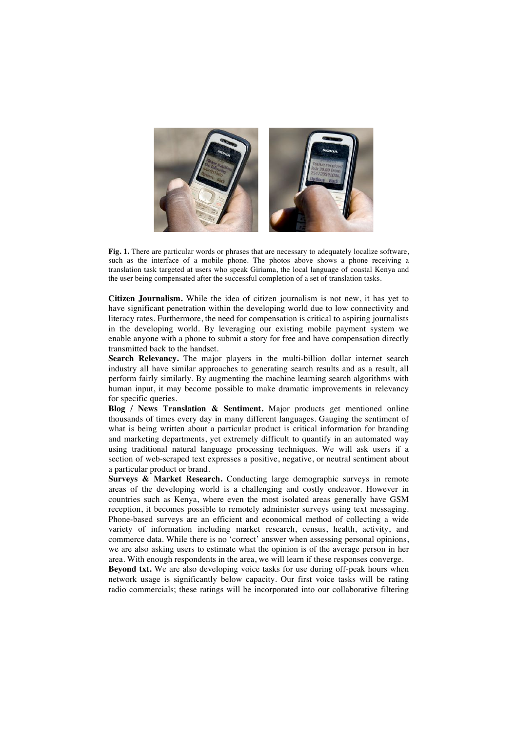

**Fig. 1.** There are particular words or phrases that are necessary to adequately localize software, such as the interface of a mobile phone. The photos above shows a phone receiving a translation task targeted at users who speak Giriama, the local language of coastal Kenya and the user being compensated after the successful completion of a set of translation tasks.

**Citizen Journalism.** While the idea of citizen journalism is not new, it has yet to have significant penetration within the developing world due to low connectivity and literacy rates. Furthermore, the need for compensation is critical to aspiring journalists in the developing world. By leveraging our existing mobile payment system we enable anyone with a phone to submit a story for free and have compensation directly transmitted back to the handset.

**Search Relevancy.** The major players in the multi-billion dollar internet search industry all have similar approaches to generating search results and as a result, all perform fairly similarly. By augmenting the machine learning search algorithms with human input, it may become possible to make dramatic improvements in relevancy for specific queries.

**Blog / News Translation & Sentiment.** Major products get mentioned online thousands of times every day in many different languages. Gauging the sentiment of what is being written about a particular product is critical information for branding and marketing departments, yet extremely difficult to quantify in an automated way using traditional natural language processing techniques. We will ask users if a section of web-scraped text expresses a positive, negative, or neutral sentiment about a particular product or brand.

**Surveys & Market Research.** Conducting large demographic surveys in remote areas of the developing world is a challenging and costly endeavor. However in countries such as Kenya, where even the most isolated areas generally have GSM reception, it becomes possible to remotely administer surveys using text messaging. Phone-based surveys are an efficient and economical method of collecting a wide variety of information including market research, census, health, activity, and commerce data. While there is no 'correct' answer when assessing personal opinions, we are also asking users to estimate what the opinion is of the average person in her area. With enough respondents in the area, we will learn if these responses converge.

**Beyond txt.** We are also developing voice tasks for use during off-peak hours when network usage is significantly below capacity. Our first voice tasks will be rating radio commercials; these ratings will be incorporated into our collaborative filtering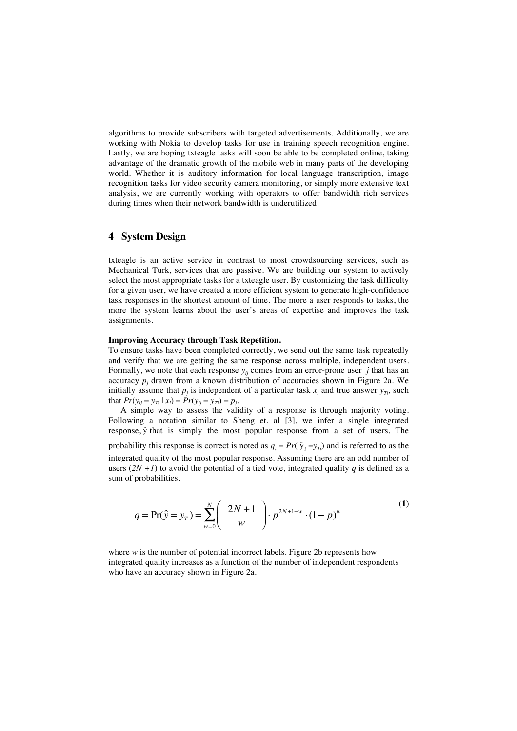algorithms to provide subscribers with targeted advertisements. Additionally, we are working with Nokia to develop tasks for use in training speech recognition engine. Lastly, we are hoping txteagle tasks will soon be able to be completed online, taking advantage of the dramatic growth of the mobile web in many parts of the developing world. Whether it is auditory information for local language transcription, image recognition tasks for video security camera monitoring, or simply more extensive text analysis, we are currently working with operators to offer bandwidth rich services during times when their network bandwidth is underutilized.

# **4 System Design**

txteagle is an active service in contrast to most crowdsourcing services, such as Mechanical Turk, services that are passive. We are building our system to actively select the most appropriate tasks for a txteagle user. By customizing the task difficulty for a given user, we have created a more efficient system to generate high-confidence task responses in the shortest amount of time. The more a user responds to tasks, the more the system learns about the user's areas of expertise and improves the task assignments.

#### **Improving Accuracy through Task Repetition.**

To ensure tasks have been completed correctly, we send out the same task repeatedly and verify that we are getting the same response across multiple, independent users. Formally, we note that each response  $y_{ij}$  comes from an error-prone user  $j$  that has an accuracy  $p_j$  drawn from a known distribution of accuracies shown in Figure 2a. We initially assume that  $p_j$  is independent of a particular task  $x_i$  and true answer  $y_{Ti}$ , such that  $Pr(y_{ij} = y_{Ti} | x_i) = Pr(y_{ij} = y_{Ti}) = p_j$ .

A simple way to assess the validity of a response is through majority voting. Following a notation similar to Sheng et. al [3], we infer a single integrated response,  $\hat{y}$  that is simply the most popular response from a set of users. The probability this response is correct is noted as  $q_i = Pr(\hat{y}_i = y_T)$  and is referred to as the integrated quality of the most popular response. Assuming there are an odd number of users  $(2N + I)$  to avoid the potential of a tied vote, integrated quality *q* is defined as a sum of probabilities,

$$
q = \Pr(\hat{y} = y_T) = \sum_{w=0}^{N} \begin{pmatrix} 2N+1 \\ w \end{pmatrix} \cdot p^{2N+1-w} \cdot (1-p)^w \tag{1}
$$

where *w* is the number of potential incorrect labels. Figure 2b represents how integrated quality increases as a function of the number of independent respondents who have an accuracy shown in Figure 2a.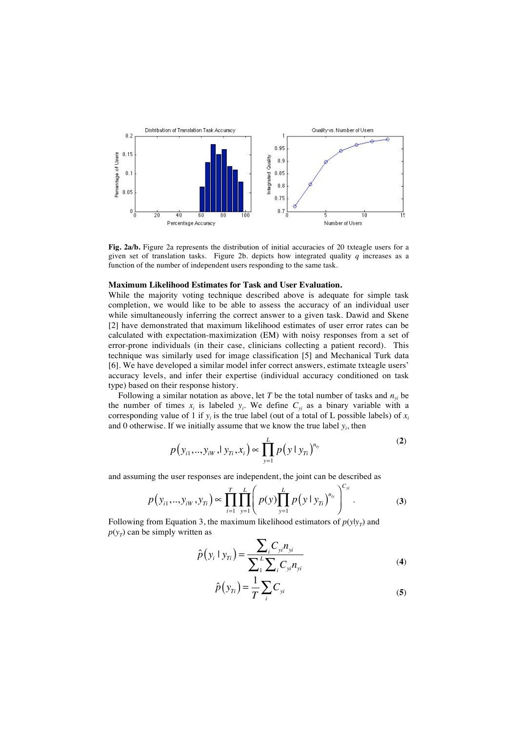

Fig. 2a/b. Figure 2a represents the distribution of initial accuracies of 20 txteagle users for a given set of translation tasks. Figure 2b. depicts how integrated quality *q* increases as a function of the number of independent users responding to the same task.

#### **Maximum Likelihood Estimates for Task and User Evaluation.**

While the majority voting technique described above is adequate for simple task completion, we would like to be able to assess the accuracy of an individual user while simultaneously inferring the correct answer to a given task. Dawid and Skene [2] have demonstrated that maximum likelihood estimates of user error rates can be calculated with expectation-maximization (EM) with noisy responses from a set of error-prone individuals (in their case, clinicians collecting a patient record). This technique was similarly used for image classification [5] and Mechanical Turk data [6]. We have developed a similar model infer correct answers, estimate txteagle users' accuracy levels, and infer their expertise (individual accuracy conditioned on task type) based on their response history.

Following a similar notation as above, let *T* be the total number of tasks and  $n_{yi}$  be the number of times  $x_i$  is labeled  $y_i$ . We define  $C_{yi}$  as a binary variable with a corresponding value of 1 if  $y_i$  is the true label (out of a total of L possible labels) of  $x_i$ and 0 otherwise. If we initially assume that we know the true label  $y_i$ , then

$$
p(y_{i1},...,y_{iW},|y_{Ti},x_i) \propto \prod_{y=1}^{L} p(y | y_{Ti})^{n_{iy}}
$$
 (2)

and assuming the user responses are independent, the joint can be described as

$$
p(y_{i1},...,y_{iW},y_{Ti}) \propto \prod_{i=1}^{T} \prod_{y=1}^{L} \left( p(y) \prod_{y=1}^{L} p(y \mid y_{Ti})^{n_{iy}} \right)^{C_{yi}}.
$$
 (3)

Following from Equation 3, the maximum likelihood estimators of  $p(y|y_T)$  and  $p(y_T)$  can be simply written as

$$
\hat{p}(y_i \mid y_{Ti}) = \frac{\sum_{i} C_{yi} n_{yi}}{\sum_{i}^{L} \sum_{i} C_{yi} n_{yi}}
$$
\n(4)

$$
\hat{p}(y_n) = \frac{1}{T} \sum_i C_{yi} \tag{5}
$$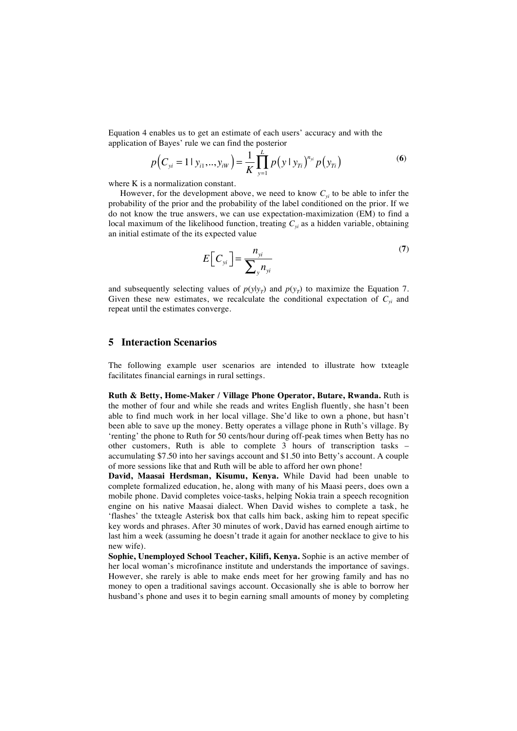Equation 4 enables us to get an estimate of each users' accuracy and with the application of Bayes' rule we can find the posterior

$$
p(C_{yi} = 1 \mid y_{i1},...,y_{iW}) = \frac{1}{K} \prod_{y=1}^{L} p(y \mid y_{Ti})^{n_{yi}} p(y_{Ti})
$$
 (6)

where K is a normalization constant.

However, for the development above, we need to know  $C_{yi}$  to be able to infer the probability of the prior and the probability of the label conditioned on the prior. If we do not know the true answers, we can use expectation-maximization (EM) to find a local maximum of the likelihood function, treating  $C_{yi}$  as a hidden variable, obtaining an initial estimate of the its expected value

$$
E\left[C_{yi}\right] = \frac{n_{yi}}{\sum_{y} n_{yi}}\tag{7}
$$

and subsequently selecting values of  $p(y|y)$  and  $p(y)$  to maximize the Equation 7. Given these new estimates, we recalculate the conditional expectation of  $C_{vi}$  and repeat until the estimates converge.

## **5 Interaction Scenarios**

The following example user scenarios are intended to illustrate how txteagle facilitates financial earnings in rural settings.

**Ruth & Betty, Home-Maker / Village Phone Operator, Butare, Rwanda.** Ruth is the mother of four and while she reads and writes English fluently, she hasn't been able to find much work in her local village. She'd like to own a phone, but hasn't been able to save up the money. Betty operates a village phone in Ruth's village. By 'renting' the phone to Ruth for 50 cents/hour during off-peak times when Betty has no other customers, Ruth is able to complete 3 hours of transcription tasks – accumulating \$7.50 into her savings account and \$1.50 into Betty's account. A couple of more sessions like that and Ruth will be able to afford her own phone!

**David, Maasai Herdsman, Kisumu, Kenya.** While David had been unable to complete formalized education, he, along with many of his Maasi peers, does own a mobile phone. David completes voice-tasks, helping Nokia train a speech recognition engine on his native Maasai dialect. When David wishes to complete a task, he 'flashes' the txteagle Asterisk box that calls him back, asking him to repeat specific key words and phrases. After 30 minutes of work, David has earned enough airtime to last him a week (assuming he doesn't trade it again for another necklace to give to his new wife).

**Sophie, Unemployed School Teacher, Kilifi, Kenya.** Sophie is an active member of her local woman's microfinance institute and understands the importance of savings. However, she rarely is able to make ends meet for her growing family and has no money to open a traditional savings account. Occasionally she is able to borrow her husband's phone and uses it to begin earning small amounts of money by completing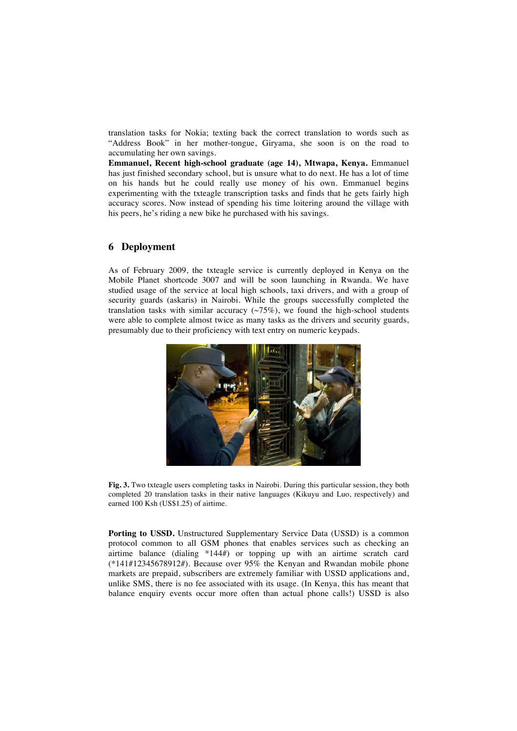translation tasks for Nokia; texting back the correct translation to words such as "Address Book" in her mother-tongue, Giryama, she soon is on the road to accumulating her own savings.

**Emmanuel, Recent high-school graduate (age 14), Mtwapa, Kenya.** Emmanuel has just finished secondary school, but is unsure what to do next. He has a lot of time on his hands but he could really use money of his own. Emmanuel begins experimenting with the txteagle transcription tasks and finds that he gets fairly high accuracy scores. Now instead of spending his time loitering around the village with his peers, he's riding a new bike he purchased with his savings.

# **6 Deployment**

As of February 2009, the txteagle service is currently deployed in Kenya on the Mobile Planet shortcode 3007 and will be soon launching in Rwanda. We have studied usage of the service at local high schools, taxi drivers, and with a group of security guards (askaris) in Nairobi. While the groups successfully completed the translation tasks with similar accuracy  $(\sim 75\%)$ , we found the high-school students were able to complete almost twice as many tasks as the drivers and security guards, presumably due to their proficiency with text entry on numeric keypads.



**Fig. 3.** Two txteagle users completing tasks in Nairobi. During this particular session, they both completed 20 translation tasks in their native languages (Kikuyu and Luo, respectively) and earned 100 Ksh (US\$1.25) of airtime.

**Porting to USSD.** Unstructured Supplementary Service Data (USSD) is a common protocol common to all GSM phones that enables services such as checking an airtime balance (dialing \*144#) or topping up with an airtime scratch card (\*141#12345678912#). Because over 95% the Kenyan and Rwandan mobile phone markets are prepaid, subscribers are extremely familiar with USSD applications and, unlike SMS, there is no fee associated with its usage. (In Kenya, this has meant that balance enquiry events occur more often than actual phone calls!) USSD is also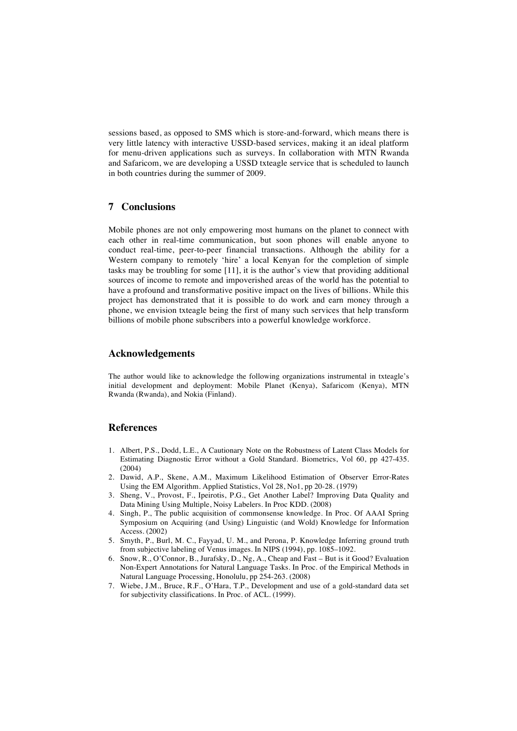sessions based, as opposed to SMS which is store-and-forward, which means there is very little latency with interactive USSD-based services, making it an ideal platform for menu-driven applications such as surveys. In collaboration with MTN Rwanda and Safaricom, we are developing a USSD txteagle service that is scheduled to launch in both countries during the summer of 2009.

# **7 Conclusions**

Mobile phones are not only empowering most humans on the planet to connect with each other in real-time communication, but soon phones will enable anyone to conduct real-time, peer-to-peer financial transactions. Although the ability for a Western company to remotely 'hire' a local Kenyan for the completion of simple tasks may be troubling for some [11], it is the author's view that providing additional sources of income to remote and impoverished areas of the world has the potential to have a profound and transformative positive impact on the lives of billions. While this project has demonstrated that it is possible to do work and earn money through a phone, we envision txteagle being the first of many such services that help transform billions of mobile phone subscribers into a powerful knowledge workforce.

## **Acknowledgements**

The author would like to acknowledge the following organizations instrumental in txteagle's initial development and deployment: Mobile Planet (Kenya), Safaricom (Kenya), MTN Rwanda (Rwanda), and Nokia (Finland).

## **References**

- 1. Albert, P.S., Dodd, L.E., A Cautionary Note on the Robustness of Latent Class Models for Estimating Diagnostic Error without a Gold Standard. Biometrics, Vol 60, pp 427-435. (2004)
- 2. Dawid, A.P., Skene, A.M., Maximum Likelihood Estimation of Observer Error-Rates Using the EM Algorithm. Applied Statistics, Vol 28, No1, pp 20-28. (1979)
- 3. Sheng, V., Provost, F., Ipeirotis, P.G., Get Another Label? Improving Data Quality and Data Mining Using Multiple, Noisy Labelers. In Proc KDD. (2008)
- 4. Singh, P., The public acquisition of commonsense knowledge. In Proc. Of AAAI Spring Symposium on Acquiring (and Using) Linguistic (and Wold) Knowledge for Information Access. (2002)
- 5. Smyth, P., Burl, M. C., Fayyad, U. M., and Perona, P. Knowledge Inferring ground truth from subjective labeling of Venus images. In NIPS (1994), pp. 1085–1092.
- 6. Snow, R., O'Connor, B., Jurafsky, D., Ng, A., Cheap and Fast But is it Good? Evaluation Non-Expert Annotations for Natural Language Tasks. In Proc. of the Empirical Methods in Natural Language Processing, Honolulu, pp 254-263. (2008)
- 7. Wiebe, J.M., Bruce, R.F., O'Hara, T.P., Development and use of a gold-standard data set for subjectivity classifications. In Proc. of ACL. (1999).